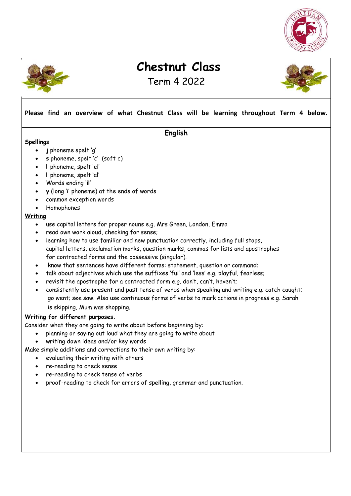



# **Chestnut Class**  Term 4 2022



## **Please find an overview of what Chestnut Class will be learning throughout Term 4 below.**

### **English**

#### **Spellings**

- j phoneme spelt 'g'
- **s** phoneme, spelt 'c' (soft c)
- **l** phoneme, spelt 'el'
- **l** phoneme, spelt 'al'
- Words ending '**il**'
- **y** (long 'i' phoneme) at the ends of words
- common exception words
- Homophones

#### **Writing**

- use capital letters for proper nouns e.g. Mrs Green, London, Emma
- read own work aloud, checking for sense;
- learning how to use familiar and new punctuation correctly, including full stops, capital letters, exclamation marks, question marks, commas for lists and apostrophes for contracted forms and the possessive (singular).
- know that sentences have different forms: statement, question or command;
- talk about adjectives which use the suffixes 'ful' and 'less' e.g. playful, fearless;
- revisit the apostrophe for a contracted form e.g. don't, can't, haven't;
- consistently use present and past tense of verbs when speaking and writing e.g. catch caught; go went; see saw. Also use continuous forms of verbs to mark actions in progress e.g. Sarah is skipping, Mum was shopping.

### **Writing for different purposes.**

Consider what they are going to write about before beginning by:

- planning or saying out loud what they are going to write about
- writing down ideas and/or key words
- Make simple additions and corrections to their own writing by:

evaluating their writing with others

- re-reading to check sense
- re-reading to check tense of verbs
- proof-reading to check for errors of spelling, grammar and punctuation.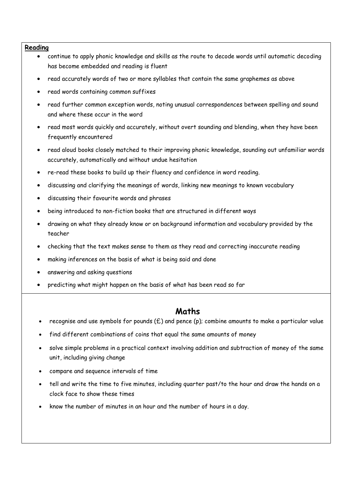#### **Reading**

- continue to apply phonic knowledge and skills as the route to decode words until automatic decoding has become embedded and reading is fluent
- read accurately words of two or more syllables that contain the same graphemes as above
- read words containing common suffixes
- read further common exception words, noting unusual correspondences between spelling and sound and where these occur in the word
- read most words quickly and accurately, without overt sounding and blending, when they have been frequently encountered
- read aloud books closely matched to their improving phonic knowledge, sounding out unfamiliar words accurately, automatically and without undue hesitation
- re-read these books to build up their fluency and confidence in word reading.
- discussing and clarifying the meanings of words, linking new meanings to known vocabulary
- discussing their favourite words and phrases
- being introduced to non-fiction books that are structured in different ways
- drawing on what they already know or on background information and vocabulary provided by the teacher
- checking that the text makes sense to them as they read and correcting inaccurate reading
- making inferences on the basis of what is being said and done
- answering and asking questions
- predicting what might happen on the basis of what has been read so far

### **Maths**

- recognise and use symbols for pounds (£) and pence (p); combine amounts to make a particular value
- find different combinations of coins that equal the same amounts of money
- solve simple problems in a practical context involving addition and subtraction of money of the same unit, including giving change
- compare and sequence intervals of time
- tell and write the time to five minutes, including quarter past/to the hour and draw the hands on a clock face to show these times
- know the number of minutes in an hour and the number of hours in a day.